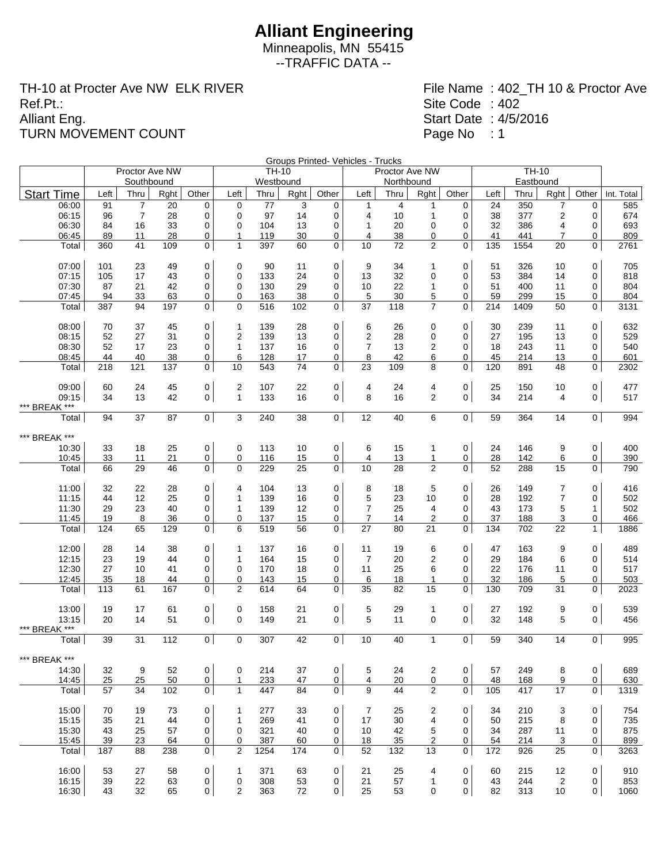Minneapolis, MN 55415 --TRAFFIC DATA --

TH-10 at Procter Ave NW ELK RIVER Ref.Pt.: Alliant Eng. TURN MOVEMENT COUNT

|                        |                |                |          |                |                         |            |          |                     | Groups Printed- Vehicles - Trucks |                |                              |                |          | $\overline{TH}$ -10 |                         |                |            |
|------------------------|----------------|----------------|----------|----------------|-------------------------|------------|----------|---------------------|-----------------------------------|----------------|------------------------------|----------------|----------|---------------------|-------------------------|----------------|------------|
|                        | Proctor Ave NW |                |          |                |                         |            | TH-10    |                     |                                   | Proctor Ave NW |                              |                |          |                     |                         |                |            |
|                        |                | Southbound     |          |                |                         | Westbound  |          |                     |                                   | Northbound     |                              |                |          | Eastbound           |                         |                |            |
| <b>Start Time</b>      | Left           | Thru           | Rght     | Other          | Left                    | Thru       | Rght     | Other               | Left                              | Thru           | Rght                         | Other          | Left     | Thru                | Rght                    | Other          | Int. Total |
| 06:00                  | 91             | 7              | 20       | 0              | 0                       | 77         | 3        | 0                   | 1                                 | 4              | 1                            | 0              | 24       | 350                 | 7                       | 0              | 585        |
| 06:15                  | 96             | $\overline{7}$ | 28       | 0              | 0                       | 97         | 14       | 0                   | $\overline{4}$                    | 10             | $\mathbf 1$                  | 0              | 38       | 377                 | $\overline{\mathbf{c}}$ | 0              | 674        |
| 06:30                  | 84             | 16             | 33       | 0              | 0                       | 104        | 13       | 0                   | $\mathbf{1}$                      | 20             | $\mathbf 0$                  | 0              | 32       | 386                 | 4                       | 0              | 693        |
| 06:45                  | 89             | 11             | 28       | 0              | 1                       | 119        | 30       | 0                   | 4                                 | 38             | 0                            | 0              | 41       | 441                 | $\overline{7}$          | 0              | 809        |
| Total                  | 360            | 41             | 109      | $\mathbf 0$    | $\mathbf{1}$            | 397        | 60       | $\overline{0}$      | 10                                | 72             | $\overline{2}$               | 0              | 135      | 1554                | 20                      | 0              | 2761       |
| 07:00                  | 101            | 23             | 49       | 0              | 0                       | 90         | 11       | 0                   | 9                                 | 34             | 1                            | 0              | 51       | 326                 | 10                      | 0              | 705        |
| 07:15                  | 105            | 17             | 43       | 0              | 0                       | 133        | 24       | 0                   | 13                                | 32             | 0                            | 0              | 53       | 384                 | 14                      | $\mathbf 0$    | 818        |
| 07:30                  | 87             | 21             | 42       | 0              | 0                       | 130        | 29       | $\mathbf 0$         | 10                                | 22             | 1                            | 0              | 51       | 400                 | 11                      | 0              | 804        |
| 07:45                  | 94             | 33             | 63       | 0              | 0                       | 163        | 38       | 0                   | 5                                 | 30             | 5                            | 0              | 59       | 299                 | 15                      | 0              | 804        |
| Total                  | 387            | 94             | 197      | 0              | 0                       | 516        | 102      | 0                   | 37                                | 118            | $\overline{7}$               | 0              | 214      | 1409                | 50                      | 0              | 3131       |
| 08:00                  | 70             | 37             | 45       | 0              | $\mathbf{1}$            | 139        | 28       | 0                   | 6                                 | 26             | 0                            | 0              | 30       | 239                 | 11                      | $\mathbf 0$    | 632        |
| 08:15                  | 52             | 27             | 31       | 0              | $\overline{2}$          | 139        | 13       | 0                   | $\overline{2}$                    | 28             | $\mathbf 0$                  | 0              | 27       | 195                 | 13                      | 0              | 529        |
| 08:30                  | 52             | 17             | 23       | 0              | $\mathbf{1}$            | 137        | 16       | 0                   | $\overline{7}$                    | 13             | 2                            | 0              | 18       | 243                 | 11                      | 0              | 540        |
| 08:45                  | 44             | 40             | 38       | 0              | 6                       | 128        | 17       | 0                   | 8                                 | 42             | 6                            | 0              | 45       | 214                 | 13                      | 0              | 601        |
| Total                  | 218            | 121            | 137      | 0              | 10                      | 543        | 74       | $\mathbf 0$         | 23                                | 109            | 8                            | 0              | 120      | 891                 | 48                      | 0              | 2302       |
| 09:00                  | 60             | 24             | 45       | 0              | 2                       | 107        | 22       | $\mathsf{O}\xspace$ | 4                                 | 24             | 4                            | 0              | 25       | 150                 | 10                      | 0              | 477        |
| 09:15                  | 34             | 13             | 42       | $\mathbf 0$    | $\mathbf{1}$            | 133        | 16       | $\overline{0}$      | 8                                 | 16             | 2                            | 0              | 34       | 214                 | 4                       | $\mathbf 0$    | 517        |
| *** BREAK ***          |                |                |          |                |                         |            |          |                     |                                   |                |                              |                |          |                     |                         |                |            |
| Total                  | 94             | 37             | 87       | $\mathbf 0$    | 3                       | 240        | 38       | $\overline{0}$      | 12                                | 40             | 6                            | 0              | 59       | 364                 | 14                      | $\overline{0}$ | 994        |
| *** BREAK ***          |                |                |          |                |                         |            |          |                     |                                   |                |                              |                |          |                     |                         |                |            |
| 10:30                  | 33             | 18             | 25       | 0              | 0                       | 113        | 10       | $\mathbf 0$         | 6                                 | 15             | $\mathbf{1}$                 | 0              | 24       | 146                 | 9                       | 0              | 400        |
| 10:45                  | 33             | 11             | 21       | 0              | 0                       | 116        | 15       | 0                   | 4                                 | 13             | 1                            | 0              | 28       | 142                 | 6                       | 0              | 390        |
| Total                  | 66             | 29             | 46       | 0              | 0                       | 229        | 25       | $\overline{0}$      | 10                                | 28             | 2                            | 0              | 52       | 288                 | 15                      | 0              | 790        |
|                        |                |                |          |                |                         |            |          |                     |                                   |                |                              |                |          |                     |                         |                |            |
| 11:00                  | 32             | 22<br>12       | 28<br>25 | 0              | 4                       | 104<br>139 | 13       | $\mathbf 0$         | 8                                 | 18             | 5<br>10                      | 0              | 26       | 149<br>192          | $\overline{7}$          | 0              | 416<br>502 |
| 11:15                  | 44             | 23             |          | 0<br>0         | 1                       |            | 16       | 0                   | 5<br>$\overline{7}$               | 23<br>25       |                              | 0<br>0         | 28<br>43 | 173                 | 7                       | 0              |            |
| 11:30<br>11:45         | 29<br>19       | 8              | 40<br>36 | 0              | 1<br>0                  | 139<br>137 | 12<br>15 | 0<br>0              | $\overline{7}$                    | 14             | 4<br>$\overline{\mathbf{c}}$ | 0              | 37       | 188                 | 5<br>3                  | 1<br>0         | 502<br>466 |
| Total                  | 124            | 65             | 129      | $\mathbf 0$    | 6                       | 519        | 56       | 0                   | 27                                | 80             | 21                           | $\mathbf 0$    | 134      | 702                 | 22                      | $\mathbf{1}$   | 1886       |
|                        |                |                |          |                |                         |            |          |                     |                                   |                |                              |                |          |                     |                         |                |            |
| 12:00                  | 28             | 14             | 38       | 0              | 1                       | 137        | 16       | 0                   | 11                                | 19             | 6                            | 0              | 47       | 163                 | 9                       | 0              | 489        |
| 12:15                  | 23             | 19             | 44       | 0              | 1                       | 164        | 15       | $\mathbf 0$         | $\overline{7}$                    | 20             | 2                            | 0              | 29       | 184                 | 6                       | 0              | 514        |
| 12:30                  | 27             | 10             | 41       | 0              | 0                       | 170        | 18       | 0                   | 11                                | 25             | 6                            | 0              | 22       | 176                 | 11                      | 0              | 517        |
| 12:45                  | 35             | 18             | 44       | 0              | 0                       | 143        | 15       | 0                   | 6                                 | 18             | 1                            | 0              | 32       | 186                 | 5                       | 0              | 503        |
| Total                  | 113            | 61             | 167      | 0              | 2                       | 614        | 64       | 0                   | 35                                | 82             | 15                           | $\mathbf 0$    | 130      | 709                 | 31                      | 0              | 2023       |
| 13:00                  | 19             | 17             | 61       | 0              | 0                       | 158        | 21       | $\mathsf{O}\xspace$ | 5                                 | 29             | 1                            | 0              | 27       | 192                 | 9                       | 0              | 539        |
| 13:15<br>*** BREAK *** | 20             | 14             | 51       | $\mathbf 0$    | 0                       | 149        | 21       | $\overline{0}$      | 5                                 | 11             | $\mathbf 0$                  | 0              | 32       | 148                 | 5                       | 0              | 456        |
| Total                  | 39             | 31             | 112      | $\mathbf 0$    | 0                       | 307        | 42       | 0 <sup>1</sup>      | 10                                | 40             | $\mathbf{1}$                 | $\overline{0}$ | 59       | 340                 | 14                      | $\mathbf 0$    | 995        |
| *** BREAK ***          |                |                |          |                |                         |            |          |                     |                                   |                |                              |                |          |                     |                         |                |            |
| 14:30                  | 32             | 9              | 52       | 0              | 0                       | 214        | 37       | $\mathbf 0$         | 5                                 | 24             | $\overline{c}$               | 0              | 57       | 249                 | 8                       | 0              | 689        |
| 14:45                  | 25             | 25             | 50       | 0              | $\mathbf{1}$            | 233        | 47       | $\mathbf 0$         | $\overline{4}$                    | 20             | 0                            | 0              | 48       | 168                 | 9                       | $\overline{0}$ | 630        |
| Total                  | 57             | 34             | 102      | 0              | $\mathbf{1}$            | 447        | 84       | 0 <sup>1</sup>      | 9                                 | 44             | $\overline{2}$               | 0              | 105      | 417                 | 17                      | 0              | 1319       |
| 15:00                  | 70             | 19             | 73       | 0              | $\mathbf 1$             | 277        | 33       | 0                   | 7                                 | 25             | 2                            | 0              | 34       | 210                 | 3                       | 0              | 754        |
| 15:15                  | 35             | 21             | 44       | 0              | $\mathbf{1}$            | 269        | 41       | 0                   | 17                                | 30             | 4                            | 0              | 50       | 215                 | 8                       | 0              | 735        |
| 15:30                  | 43             | 25             | 57       | 0              | 0                       | 321        | 40       | 0                   | 10                                | 42             | 5                            | 0              | 34       | 287                 | 11                      | 0              | 875        |
| 15:45                  | 39             | 23             | 64       | $\overline{0}$ | 0                       | 387        | 60       | 0                   | 18                                | 35             | 2                            | 0              | 54       | 214                 | 3                       | 0              | 899        |
| Total                  | 187            | 88             | 238      | $\mathbf 0$    | 2                       | 1254       | 174      | $\overline{0}$      | 52                                | 132            | 13                           | 0              | 172      | 926                 | 25                      | 0              | 3263       |
| 16:00                  | 53             | 27             | 58       | 0              | $\mathbf{1}$            | 371        | 63       | $\mathsf{O}\xspace$ | 21                                | 25             | 4                            | 0              | 60       | 215                 | 12                      | 0              | 910        |
| 16:15                  | 39             | 22             | 63       | 0              | 0                       | 308        | 53       | 0                   | 21                                | 57             | $\mathbf{1}$                 | 0              | 43       | 244                 | 2                       | 0              | 853        |
| 16:30                  | 43             | 32             | 65       | 0              | $\overline{\mathbf{c}}$ | 363        | $72\,$   | $\mathbf 0$         | 25                                | 53             | 0                            | 0              | 82       | 313                 | 10                      | 0              | 1060       |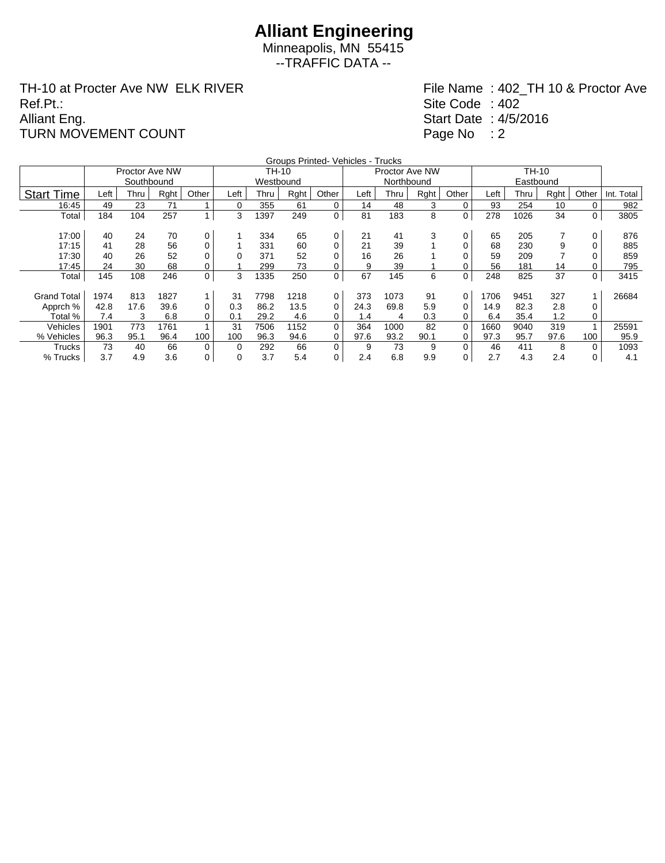Minneapolis, MN 55415 --TRAFFIC DATA --

TH-10 at Procter Ave NW ELK RIVER Ref.Pt.: Alliant Eng. TURN MOVEMENT COUNT

|                    |      |                |      |                |      |       |      | Groups Printed- Vehicles - Trucks |      |                |      |          |      |      |      |          |            |
|--------------------|------|----------------|------|----------------|------|-------|------|-----------------------------------|------|----------------|------|----------|------|------|------|----------|------------|
|                    |      | Proctor Ave NW |      |                |      | TH-10 |      |                                   |      | Proctor Ave NW |      |          |      |      |      |          |            |
|                    |      |                |      | Westbound      |      |       |      | Northbound                        |      |                |      |          |      |      |      |          |            |
| <b>Start Time</b>  | Left | Thru           | Rght | Other          | Left | Thru  | Rght | Other                             | Left | Thru           | Rght | Other    | Left | Thru | Rght | Other    | Int. Total |
| 16:45              | 49   | 23             | 71   |                | 0    | 355   | 61   | 0                                 | 14   | 48             | 3    | 0        | 93   | 254  | 10   | $\Omega$ | 982        |
| Total              | 184  | 104            | 257  | 1              | 3    | 1397  | 249  | 0                                 | 81   | 183            | 8    | 0        | 278  | 1026 | 34   | 0        | 3805       |
|                    |      |                |      |                |      |       |      |                                   |      |                |      |          |      |      |      |          |            |
| 17:00              | 40   | 24             | 70   | 0              |      | 334   | 65   | 0                                 | 21   | 41             | 3    | 0        | 65   | 205  |      | 0        | 876        |
| 17:15              | 41   | 28             | 56   | 0              |      | 331   | 60   | 0                                 | 21   | 39             |      |          | 68   | 230  | 9    |          | 885        |
| 17:30              | 40   | 26             | 52   | 0              |      | 371   | 52   | 0                                 | 16   | 26             |      |          | 59   | 209  |      |          | 859        |
| 17:45              | 24   | 30             | 68   | 0              |      | 299   | 73   | 0                                 | 9    | 39             |      |          | 56   | 181  | 14   |          | 795        |
| Total              | 145  | 108            | 246  | 0              | 3    | 1335  | 250  | 0                                 | 67   | 145            | 6    | 0        | 248  | 825  | 37   | 0        | 3415       |
|                    |      |                |      |                |      |       |      |                                   |      |                |      |          |      |      |      |          |            |
| <b>Grand Total</b> | 1974 | 813            | 1827 | $\mathbf{1}$   | 31   | 7798  | 1218 | 0                                 | 373  | 1073           | 91   | 0        | 1706 | 9451 | 327  |          | 26684      |
| Apprch %           | 42.8 | 17.6           | 39.6 | 0              | 0.3  | 86.2  | 13.5 | 0                                 | 24.3 | 69.8           | 5.9  | 0        | 14.9 | 82.3 | 2.8  | $\Omega$ |            |
| Total %            | 7.4  | 3              | 6.8  | 0              | 0.1  | 29.2  | 4.6  | 0                                 | 1.4  | 4              | 0.3  | 0        | 6.4  | 35.4 | 1.2  | $\Omega$ |            |
| Vehicles           | 1901 | 773            | 1761 | $\overline{ }$ | 31   | 7506  | 1152 | 0                                 | 364  | 1000           | 82   | 0        | 1660 | 9040 | 319  |          | 25591      |
| % Vehicles         | 96.3 | 95.1           | 96.4 | 100            | 100  | 96.3  | 94.6 | 0                                 | 97.6 | 93.2           | 90.1 | 0        | 97.3 | 95.7 | 97.6 | 100      | 95.9       |
| Trucks             | 73   | 40             | 66   | 0              | 0    | 292   | 66   | $\Omega$                          | 9    | 73             | 9    | $\Omega$ | 46   | 411  | 8    | $\Omega$ | 1093       |
| % Trucks           | 3.7  | 4.9            | 3.6  | 0              | 0    | 3.7   | 5.4  | 0                                 | 2.4  | 6.8            | 9.9  | 0        | 2.7  | 4.3  | 2.4  | 0        | 4.1        |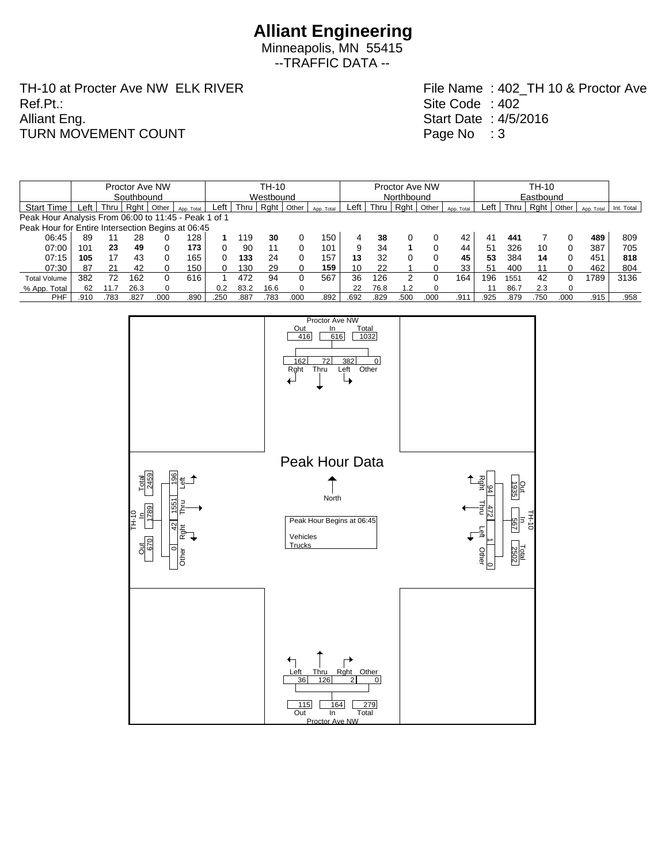Minneapolis, MN 55415 --TRAFFIC DATA --

TH-10 at Procter Ave NW ELK RIVER Ref.Pt.: Alliant Eng. TURN MOVEMENT COUNT

|                                                      | Proctor Ave NW |      |        |       |            |           | TH-10 |      |       |            |            | Proctor Ave NW |         |          |            |      | TH-10     |      |          |            |            |  |  |
|------------------------------------------------------|----------------|------|--------|-------|------------|-----------|-------|------|-------|------------|------------|----------------|---------|----------|------------|------|-----------|------|----------|------------|------------|--|--|
|                                                      | Southbound     |      |        |       |            | Westbound |       |      |       |            | Northbound |                |         |          |            |      | Eastbound |      |          |            |            |  |  |
| <b>Start Time</b>                                    | _eft           | Thru | Raht ' | Other | App. Total | Left      | Thru  | Rght | Other | App. Total | ∟eft       | Thru           | $RQ$ nt | Other    | App. Total | Left | Thru      | Rght | Other    | App. Total | Int. Total |  |  |
| Peak Hour Analysis From 06:00 to 11:45 - Peak 1 of 1 |                |      |        |       |            |           |       |      |       |            |            |                |         |          |            |      |           |      |          |            |            |  |  |
| Peak Hour for Entire Intersection Begins at 06:45    |                |      |        |       |            |           |       |      |       |            |            |                |         |          |            |      |           |      |          |            |            |  |  |
| 06:45                                                | 89             |      | 28     |       | 128        |           | 119   | 30   |       | 150        | Δ          | 38             |         |          | 42         | 41   | 441       |      |          | 489        | 809        |  |  |
| 07:00                                                | 101            | 23   | 49     |       | 173        |           | 90    | 11   | 0     | 101        | 9          | 34             |         | 0        | 44         | 51   | 326       | 10   | 0        | 387        | 705        |  |  |
| 07:15                                                | 105            | 17   | 43     |       | 165        |           | 133   | 24   | 0     | 157        | 13         | 32             |         | 0        | 45         | 53   | 384       | 14   | $\Omega$ | 451        | 818        |  |  |
| 07:30                                                | 87             | 21   | 42     |       | 150        |           | 130   | 29   | 0     | 159        | 10         | 22             |         |          | 33         | 51   | 400       | 11   | 0        | 462        | 804        |  |  |
| <b>Total Volume</b>                                  | 382            | 72   | 162    |       | 616        |           | 472   | 94   | 0     | 567        | 36         | 126            |         |          | 164.       | 196  | 1551      | 42   | 0        | 1789       | 3136       |  |  |
| % App. Total                                         | 62             |      | 26.3   |       |            | 0.2       | 83.2  | 16.6 | 0     |            | 22         | 76.8           | 1.2     | $\Omega$ |            |      | 86.7      | 2.3  | $\Omega$ |            |            |  |  |
| <b>PHF</b>                                           | .910           | 783  | .827   | 00C   | .890       | .250      | .887  | .783 | .000  | .892       | .692       | .829           | .500    | .000     | .911       | .925 | .879      | 750  | .000     | .915       | .958       |  |  |